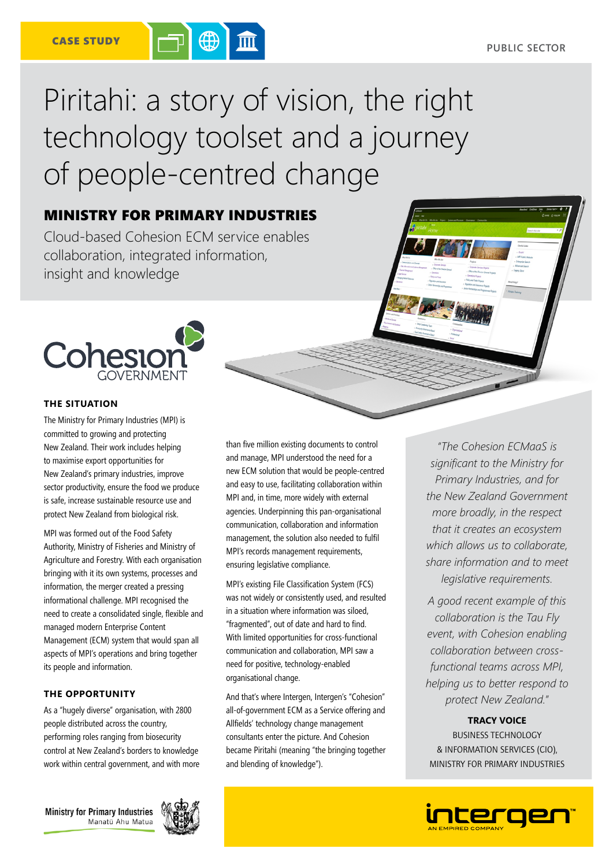# Piritahi: a story of vision, the right technology toolset and a journey of people-centred change

# MINISTRY FOR PRIMARY INDUSTRIES

Cloud-based Cohesion ECM service enables collaboration, integrated information, insight and knowledge



## **THE SITUATION**

The Ministry for Primary Industries (MPI) is committed to growing and protecting New Zealand. Their work includes helping to maximise export opportunities for New Zealand's primary industries, improve sector productivity, ensure the food we produce is safe, increase sustainable resource use and protect New Zealand from biological risk.

MPI was formed out of the Food Safety Authority, Ministry of Fisheries and Ministry of Agriculture and Forestry. With each organisation bringing with it its own systems, processes and information, the merger created a pressing informational challenge. MPI recognised the need to create a consolidated single, flexible and managed modern Enterprise Content Management (ECM) system that would span all aspects of MPI's operations and bring together its people and information.

# **THE OPPORTUNITY**

As a "hugely diverse" organisation, with 2800 people distributed across the country, performing roles ranging from biosecurity control at New Zealand's borders to knowledge work within central government, and with more

**Ministry for Primary Industries** Manatū Ahu Matua



than five million existing documents to control and manage, MPI understood the need for a new ECM solution that would be people-centred and easy to use, facilitating collaboration within MPI and, in time, more widely with external agencies. Underpinning this pan-organisational communication, collaboration and information management, the solution also needed to fulfil MPI's records management requirements, ensuring legislative compliance.

MPI's existing File Classification System (FCS) was not widely or consistently used, and resulted in a situation where information was siloed, "fragmented", out of date and hard to find. With limited opportunities for cross-functional communication and collaboration, MPI saw a need for positive, technology-enabled organisational change.

And that's where Intergen, Intergen's "Cohesion" all-of-government ECM as a Service offering and Allfields' technology change management consultants enter the picture. And Cohesion became Piritahi (meaning "the bringing together and blending of knowledge").

*"The Cohesion ECMaaS is significant to the Ministry for Primary Industries, and for the New Zealand Government more broadly, in the respect that it creates an ecosystem which allows us to collaborate, share information and to meet legislative requirements.*

*A good recent example of this collaboration is the Tau Fly event, with Cohesion enabling collaboration between crossfunctional teams across MPI, helping us to better respond to protect New Zealand."*

# **TRACY VOICE**

BUSINESS TECHNOLOGY & INFORMATION SERVICES (CIO), MINISTRY FOR PRIMARY INDUSTRIES